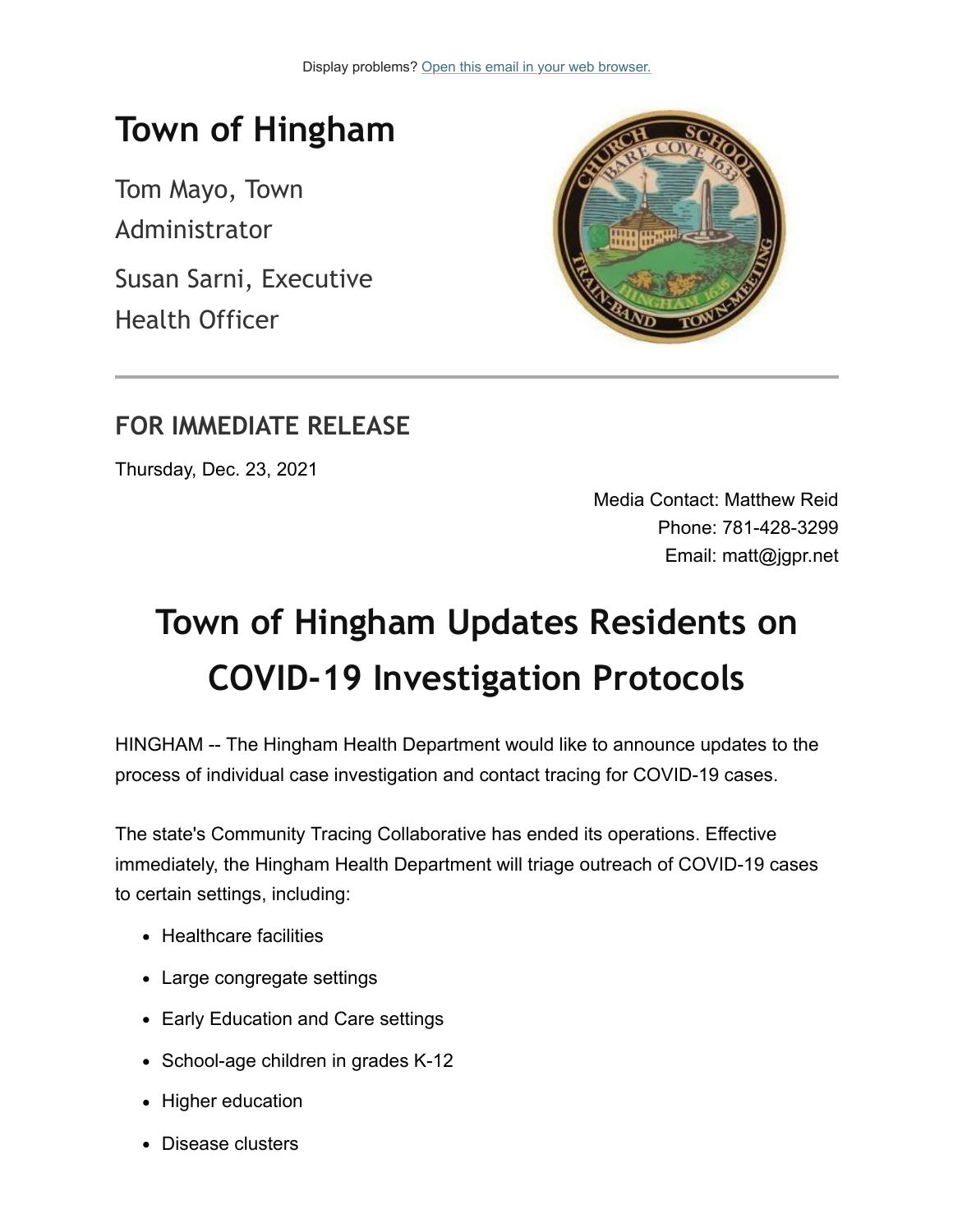## **Town of Hingham**

Tom Mayo, Town Administrator

Susan Sarni, Executive Health Officer



#### **FOR IMMEDIATE RELEASE**

Thursday, Dec. 23, 2021

Media Contact: Matthew Reid Phone: 781-428-3299 Email: matt@jgpr.net

# **Town of Hingham Updates Residents on COVID-19 Investigation Protocols**

HINGHAM -- The Hingham Health Department would like to announce updates to the process of individual case investigation and contact tracing for COVID-19 cases.

The state's Community Tracing Collaborative has ended its operations. Effective immediately, the Hingham Health Department will triage outreach of COVID-19 cases to certain settings, including:

- Healthcare facilities
- Large congregate settings
- Early Education and Care settings
- School-age children in grades K-12
- Higher education
- Disease clusters